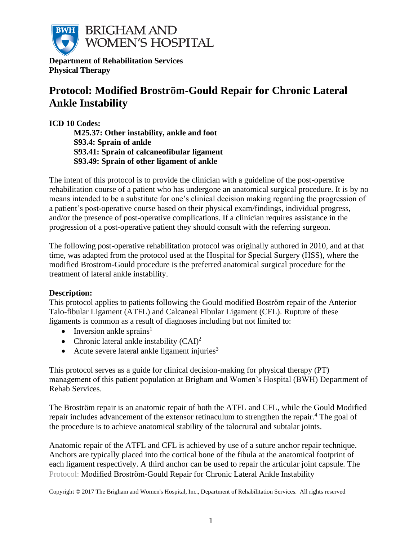

**Department of Rehabilitation Services Physical Therapy**

# **Protocol: Modified Brostrӧm-Gould Repair for Chronic Lateral Ankle Instability**

**ICD 10 Codes: M25.37: Other instability, ankle and foot S93.4: Sprain of ankle S93.41: Sprain of calcaneofibular ligament S93.49: Sprain of other ligament of ankle**

The intent of this protocol is to provide the clinician with a guideline of the post-operative rehabilitation course of a patient who has undergone an anatomical surgical procedure. It is by no means intended to be a substitute for one's clinical decision making regarding the progression of a patient's post-operative course based on their physical exam/findings, individual progress, and/or the presence of post-operative complications. If a clinician requires assistance in the progression of a post-operative patient they should consult with the referring surgeon.

The following post-operative rehabilitation protocol was originally authored in 2010, and at that time, was adapted from the protocol used at the Hospital for Special Surgery (HSS), where the modified Brostrom-Gould procedure is the preferred anatomical surgical procedure for the treatment of lateral ankle instability.

# **Description:**

This protocol applies to patients following the Gould modified Boström repair of the Anterior Talo-fibular Ligament (ATFL) and Calcaneal Fibular Ligament (CFL). Rupture of these ligaments is common as a result of diagnoses including but not limited to:

- Inversion ankle sprains<sup>1</sup>
- Chronic lateral ankle instability  $(CAI)^2$
- Acute severe lateral ankle ligament injuries $3$

This protocol serves as a guide for clinical decision-making for physical therapy (PT) management of this patient population at Brigham and Women's Hospital (BWH) Department of Rehab Services.

The Brostrӧm repair is an anatomic repair of both the ATFL and CFL, while the Gould Modified repair includes advancement of the extensor retinaculum to strengthen the repair.<sup>4</sup> The goal of the procedure is to achieve anatomical stability of the talocrural and subtalar joints.

Protocol: Modified Broström-Gould Repair for Chronic Lateral Ankle Instability Anatomic repair of the ATFL and CFL is achieved by use of a suture anchor repair technique. Anchors are typically placed into the cortical bone of the fibula at the anatomical footprint of each ligament respectively. A third anchor can be used to repair the articular joint capsule. The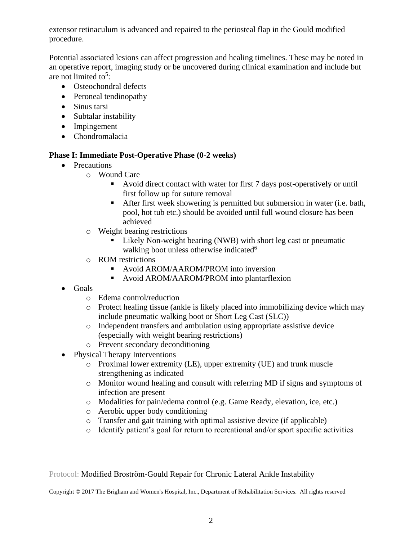extensor retinaculum is advanced and repaired to the periosteal flap in the Gould modified procedure.

Potential associated lesions can affect progression and healing timelines. These may be noted in an operative report, imaging study or be uncovered during clinical examination and include but are not limited to<sup>5</sup>:

- Osteochondral defects
- Peroneal tendinopathy
- Sinus tarsi
- Subtalar instability
- Impingement
- Chondromalacia

#### **Phase I: Immediate Post-Operative Phase (0-2 weeks)**

- Precautions
	- o Wound Care
		- Avoid direct contact with water for first 7 days post-operatively or until first follow up for suture removal
		- After first week showering is permitted but submersion in water (i.e. bath, pool, hot tub etc.) should be avoided until full wound closure has been achieved
	- o Weight bearing restrictions
		- Likely Non-weight bearing (NWB) with short leg cast or pneumatic walking boot unless otherwise indicated<sup>6</sup>
	- o ROM restrictions
		- Avoid AROM/AAROM/PROM into inversion
		- Avoid AROM/AAROM/PROM into plantarflexion
- Goals
	- o Edema control/reduction
	- $\circ$  Protect healing tissue (ankle is likely placed into immobilizing device which may include pneumatic walking boot or Short Leg Cast (SLC))
	- o Independent transfers and ambulation using appropriate assistive device (especially with weight bearing restrictions)
	- o Prevent secondary deconditioning
- Physical Therapy Interventions
	- o Proximal lower extremity (LE), upper extremity (UE) and trunk muscle strengthening as indicated
	- o Monitor wound healing and consult with referring MD if signs and symptoms of infection are present
	- o Modalities for pain/edema control (e.g. Game Ready, elevation, ice, etc.)
	- o Aerobic upper body conditioning
	- o Transfer and gait training with optimal assistive device (if applicable)
	- o Identify patient's goal for return to recreational and/or sport specific activities

Protocol: Modified Broström-Gould Repair for Chronic Lateral Ankle Instability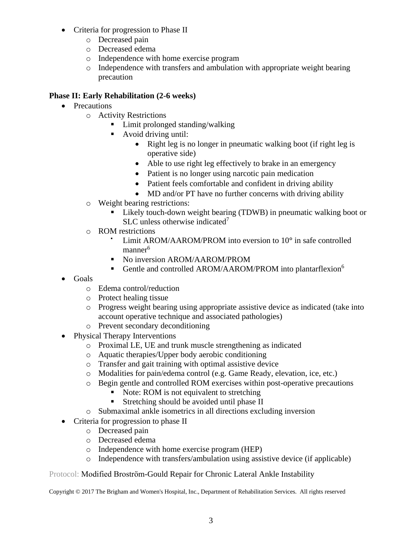- Criteria for progression to Phase II
	- o Decreased pain
	- o Decreased edema
	- o Independence with home exercise program
	- o Independence with transfers and ambulation with appropriate weight bearing precaution

# **Phase II: Early Rehabilitation (2-6 weeks)**

- Precautions
	- o Activity Restrictions
		- Limit prolonged standing/walking
		- Avoid driving until:
			- Right leg is no longer in pneumatic walking boot (if right leg is operative side)
			- Able to use right leg effectively to brake in an emergency
			- Patient is no longer using narcotic pain medication
			- Patient feels comfortable and confident in driving ability
			- MD and/or PT have no further concerns with driving ability
	- o Weight bearing restrictions:
		- Likely touch-down weight bearing (TDWB) in pneumatic walking boot or SLC unless otherwise indicated<sup>7</sup>
	- o ROM restrictions
		- Limit AROM/AAROM/PROM into eversion to 10<sup>°</sup> in safe controlled manner 6
		- No inversion AROM/AAROM/PROM
		- **•** Gentle and controlled AROM/AAROM/PROM into plantarflexion<sup>6</sup>
- Goals
	- o Edema control/reduction
	- o Protect healing tissue
	- o Progress weight bearing using appropriate assistive device as indicated (take into account operative technique and associated pathologies)
	- o Prevent secondary deconditioning
- Physical Therapy Interventions
	- o Proximal LE, UE and trunk muscle strengthening as indicated
	- o Aquatic therapies/Upper body aerobic conditioning
	- o Transfer and gait training with optimal assistive device
	- o Modalities for pain/edema control (e.g. Game Ready, elevation, ice, etc.)
	- o Begin gentle and controlled ROM exercises within post-operative precautions
		- Note: ROM is not equivalent to stretching
		- Stretching should be avoided until phase II
	- o Submaximal ankle isometrics in all directions excluding inversion
- Criteria for progression to phase II
	- o Decreased pain
	- o Decreased edema
	- o Independence with home exercise program (HEP)
	- o Independence with transfers/ambulation using assistive device (if applicable)

Protocol: Modified Broström-Gould Repair for Chronic Lateral Ankle Instability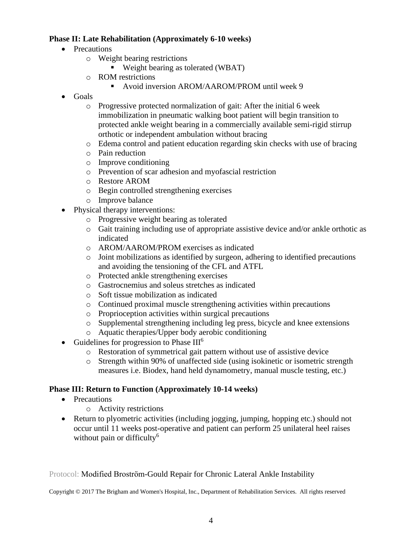# **Phase II: Late Rehabilitation (Approximately 6-10 weeks)**

- Precautions
	- o Weight bearing restrictions
		- Weight bearing as tolerated (WBAT)
	- o ROM restrictions
		- Avoid inversion AROM/AAROM/PROM until week 9
- Goals
	- o Progressive protected normalization of gait: After the initial 6 week immobilization in pneumatic walking boot patient will begin transition to protected ankle weight bearing in a commercially available semi-rigid stirrup orthotic or independent ambulation without bracing
	- o Edema control and patient education regarding skin checks with use of bracing
	- o Pain reduction
	- o Improve conditioning
	- o Prevention of scar adhesion and myofascial restriction
	- o Restore AROM
	- o Begin controlled strengthening exercises
	- o Improve balance
- Physical therapy interventions:
	- o Progressive weight bearing as tolerated
	- o Gait training including use of appropriate assistive device and/or ankle orthotic as indicated
	- o AROM/AAROM/PROM exercises as indicated
	- $\circ$  Joint mobilizations as identified by surgeon, adhering to identified precautions and avoiding the tensioning of the CFL and ATFL
	- o Protected ankle strengthening exercises
	- o Gastrocnemius and soleus stretches as indicated
	- o Soft tissue mobilization as indicated
	- o Continued proximal muscle strengthening activities within precautions
	- o Proprioception activities within surgical precautions
	- o Supplemental strengthening including leg press, bicycle and knee extensions
	- o Aquatic therapies/Upper body aerobic conditioning
- Guidelines for progression to Phase  $III<sup>6</sup>$ 
	- o Restoration of symmetrical gait pattern without use of assistive device
	- o Strength within 90% of unaffected side (using isokinetic or isometric strength measures i.e. Biodex, hand held dynamometry, manual muscle testing, etc.)

#### **Phase III: Return to Function (Approximately 10-14 weeks)**

- Precautions
	- o Activity restrictions
- Return to plyometric activities (including jogging, jumping, hopping etc.) should not occur until 11 weeks post-operative and patient can perform 25 unilateral heel raises without pain or difficulty $^6$

#### Protocol: Modified Broström-Gould Repair for Chronic Lateral Ankle Instability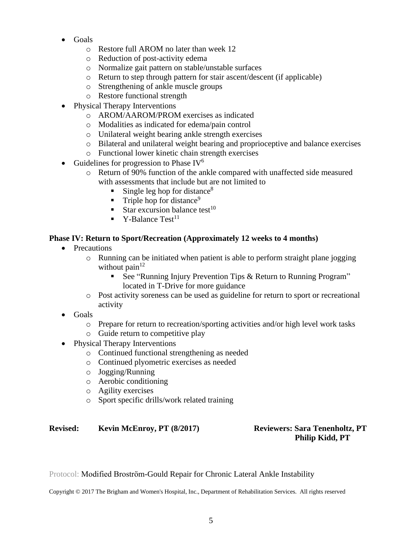- Goals
	- o Restore full AROM no later than week 12
	- o Reduction of post-activity edema
	- o Normalize gait pattern on stable/unstable surfaces
	- o Return to step through pattern for stair ascent/descent (if applicable)
	- o Strengthening of ankle muscle groups
	- o Restore functional strength
- Physical Therapy Interventions
	- o AROM/AAROM/PROM exercises as indicated
	- o Modalities as indicated for edema/pain control
	- o Unilateral weight bearing ankle strength exercises
	- o Bilateral and unilateral weight bearing and proprioceptive and balance exercises
	- o Functional lower kinetic chain strength exercises
- Guidelines for progression to Phase  $IV<sup>6</sup>$ 
	- o Return of 90% function of the ankle compared with unaffected side measured with assessments that include but are not limited to
		- Single leg hop for distance $8$
		- **•** Triple hop for distance<sup>9</sup>
		- Star excursion balance test<sup>10</sup>
		- $\bullet$  Y-Balance Test<sup>11</sup>

# **Phase IV: Return to Sport/Recreation (Approximately 12 weeks to 4 months)**

- Precautions
	- $\circ$  Running can be initiated when patient is able to perform straight plane jogging without pain $12$ 
		- See "Running Injury Prevention Tips & Return to Running Program" located in T-Drive for more guidance
	- o Post activity soreness can be used as guideline for return to sport or recreational activity
- Goals
	- o Prepare for return to recreation/sporting activities and/or high level work tasks
	- o Guide return to competitive play
- Physical Therapy Interventions
	- o Continued functional strengthening as needed
	- o Continued plyometric exercises as needed
	- o Jogging/Running
	- o Aerobic conditioning
	- o Agility exercises
	- o Sport specific drills/work related training

# **Revised: Kevin McEnroy, PT (8/2017) Reviewers: Sara Tenenholtz, PT**

# **Philip Kidd, PT**

Protocol: Modified Broström-Gould Repair for Chronic Lateral Ankle Instability